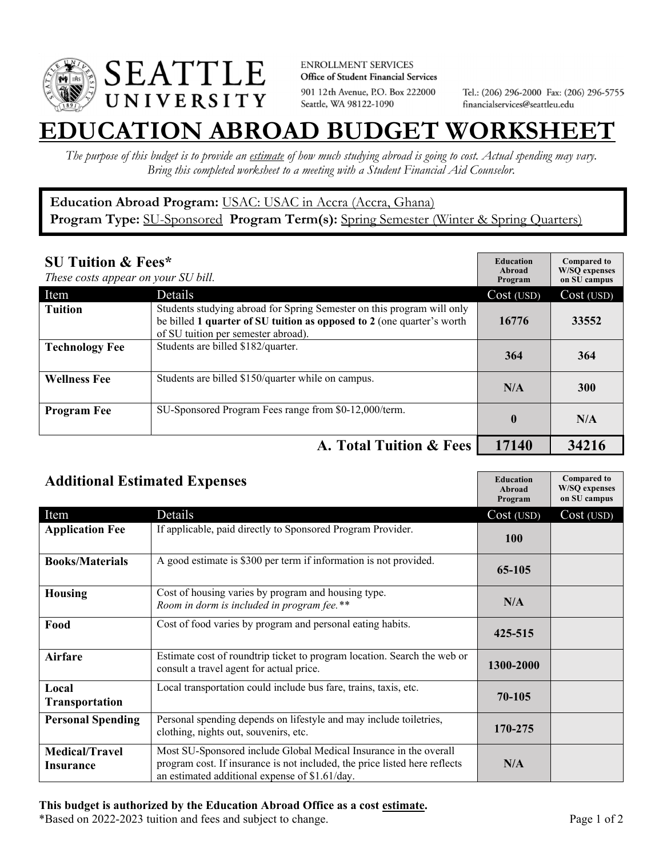

**ENROLLMENT SERVICES** Office of Student Financial Services 901 12th Avenue, P.O. Box 222000 Seattle, WA 98122-1090

Tel.: (206) 296-2000 Fax: (206) 296-5755 financialservices@seattleu.edu

## **EATION ABROAD BUDGET WORKSHEE**

*The purpose of this budget is to provide an estimate of how much studying abroad is going to cost. Actual spending may vary. Bring this completed worksheet to a meeting with a Student Financial Aid Counselor.* 

## **Education Abroad Program:** USAC: USAC in Accra (Accra, Ghana) Program Type: **SU-Sponsored** Program Term(s): **Spring Semester** (Winter & Spring Quarters)

| <b>SU Tuition &amp; Fees*</b><br>These costs appear on your SU bill. |                                                                                                                                                                                         | <b>Education</b><br>Abroad<br>Program | <b>Compared to</b><br><b>W/SO</b> expenses<br>on SU campus |
|----------------------------------------------------------------------|-----------------------------------------------------------------------------------------------------------------------------------------------------------------------------------------|---------------------------------------|------------------------------------------------------------|
| Item                                                                 | Details                                                                                                                                                                                 | Cost (USD)                            | Cost (USD)                                                 |
| <b>Tuition</b>                                                       | Students studying abroad for Spring Semester on this program will only<br>be billed 1 quarter of SU tuition as opposed to 2 (one quarter's worth<br>of SU tuition per semester abroad). | 16776                                 | 33552                                                      |
| <b>Technology Fee</b>                                                | Students are billed \$182/quarter.                                                                                                                                                      | 364                                   | 364                                                        |
| <b>Wellness Fee</b>                                                  | Students are billed \$150/quarter while on campus.                                                                                                                                      | N/A                                   | <b>300</b>                                                 |
| <b>Program Fee</b>                                                   | SU-Sponsored Program Fees range from \$0-12,000/term.                                                                                                                                   | $\mathbf{0}$                          | N/A                                                        |
|                                                                      | A. Total Tuition & Fees                                                                                                                                                                 | 17140                                 | 34216                                                      |

| <b>Additional Estimated Expenses</b> |                                                                                                                                                                                                   | <b>Education</b><br>Abroad<br>Program | <b>Compared to</b><br><b>W/SQ</b> expenses<br>on SU campus |
|--------------------------------------|---------------------------------------------------------------------------------------------------------------------------------------------------------------------------------------------------|---------------------------------------|------------------------------------------------------------|
| Item                                 | Details                                                                                                                                                                                           | Cost (USD)                            | Cost (USD)                                                 |
| <b>Application Fee</b>               | If applicable, paid directly to Sponsored Program Provider.                                                                                                                                       | <b>100</b>                            |                                                            |
| <b>Books/Materials</b>               | A good estimate is \$300 per term if information is not provided.                                                                                                                                 | 65-105                                |                                                            |
| <b>Housing</b>                       | Cost of housing varies by program and housing type.<br>Room in dorm is included in program fee.**                                                                                                 | N/A                                   |                                                            |
| Food                                 | Cost of food varies by program and personal eating habits.                                                                                                                                        | 425-515                               |                                                            |
| Airfare                              | Estimate cost of roundtrip ticket to program location. Search the web or<br>consult a travel agent for actual price.                                                                              | 1300-2000                             |                                                            |
| Local<br><b>Transportation</b>       | Local transportation could include bus fare, trains, taxis, etc.                                                                                                                                  | 70-105                                |                                                            |
| <b>Personal Spending</b>             | Personal spending depends on lifestyle and may include toiletries,<br>clothing, nights out, souvenirs, etc.                                                                                       | 170-275                               |                                                            |
| <b>Medical/Travel</b><br>Insurance   | Most SU-Sponsored include Global Medical Insurance in the overall<br>program cost. If insurance is not included, the price listed here reflects<br>an estimated additional expense of \$1.61/day. | N/A                                   |                                                            |

## **This budget is authorized by the Education Abroad Office as a cost estimate.**

\*Based on 2022-2023 tuition and fees and subject to change. Page 1 of 2